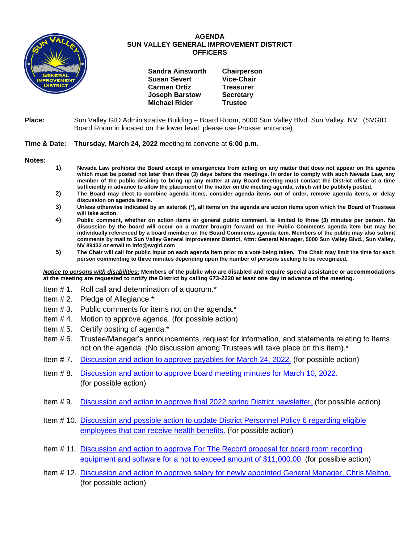

## **AGENDA SUN VALLEY GENERAL IMPROVEMENT DISTRICT OFFICERS**

| <b>Sandra Ainsworth</b> | Chairperson       |
|-------------------------|-------------------|
| <b>Susan Severt</b>     | <b>Vice-Chair</b> |
| <b>Carmen Ortiz</b>     | <b>Treasurer</b>  |
| <b>Joseph Barstow</b>   | <b>Secretary</b>  |
| <b>Michael Rider</b>    | <b>Trustee</b>    |

**Place:** Sun Valley GID Administrative Building – Board Room, 5000 Sun Valley Blvd. Sun Valley, NV. (SVGID Board Room in located on the lower level, please use Prosser entrance)

## **Time & Date: Thursday, March 24, 2022** meeting to convene at **6:00 p.m.**

**Notes:**

- **1) Nevada Law prohibits the Board except in emergencies from acting on any matter that does not appear on the agenda which must be posted not later than three (3) days before the meetings. In order to comply with such Nevada Law, any member of the public desiring to bring up any matter at any Board meeting must contact the District office at a time sufficiently in advance to allow the placement of the matter on the meeting agenda, which will be publicly posted.**
- **2) The Board may elect to combine agenda items, consider agenda items out of order, remove agenda items, or delay discussion on agenda items.**
- **3) Unless otherwise indicated by an asterisk (\*), all items on the agenda are action items upon which the Board of Trustees will take action.**
- **4) Public comment, whether on action items or general public comment, is limited to three (3) minutes per person. No discussion by the board will occur on a matter brought forward on the Public Comments agenda item but may be individually referenced by a board member on the Board Comments agenda item. Members of the public may also submit comments by mail to Sun Valley General Improvement District, Attn: General Manager, 5000 Sun Valley Blvd., Sun Valley, NV 89433 or email to info@svgid.com**
- **5) The Chair will call for public input on each agenda item prior to a vote being taken. The Chair may limit the time for each person commenting to three minutes depending upon the number of persons seeking to be recognized.**

*Notice to persons with disabilities***: Members of the public who are disabled and require special assistance or accommodations at the meeting are requested to notify the District by calling 673-2220 at least one day in advance of the meeting.**

- Item # 1. Roll call and determination of a quorum.\*
- Item # 2. Pledge of Allegiance.\*
- Item # 3. Public comments for items not on the agenda.\*
- Item # 4. Motion to approve agenda. (for possible action)
- Item # 5. Certify posting of agenda.\*
- Item # 6. Trustee/Manager's announcements, request for information, and statements relating to items not on the agenda. (No discussion among Trustees will take place on this item).\*
- Item # 7. [Discussion and action to approve payables](https://www.svgid.com/wp-content/uploads/032422_AgendaItem07.pdf) for March 24, 2022. (for possible action)
- Item # 8. [Discussion and action to approve board meeting minutes for](https://www.svgid.com/wp-content/uploads/032422_AgendaItem08.pdf) March 10, 2022. (for possible action)
- Item # 9. [Discussion and action to approve final 2022 spring District newsletter.](https://www.svgid.com/wp-content/uploads/032422_AgendaItem09.pdf) (for possible action)
- Item # 10. [Discussion and possible action to update District Personnel Policy 6 regarding eligible](https://www.svgid.com/wp-content/uploads/032422_AgendaItem10.pdf)  [employees that can receive health benefits.](https://www.svgid.com/wp-content/uploads/032422_AgendaItem10.pdf) (for possible action)
- Item # 11. [Discussion and action to approve For The Record proposal for board room recording](https://www.svgid.com/wp-content/uploads/032422_AgendaItem11.pdf)  [equipment and software for a not to exceed amount of \\$11,000.00.](https://www.svgid.com/wp-content/uploads/032422_AgendaItem11.pdf) (for possible action)
- Item # 12. [Discussion and action to approve salary for newly appointed General Manager, Chris Melton.](https://www.svgid.com/wp-content/uploads/032422_AgendaItem12.pdf) (for possible action)